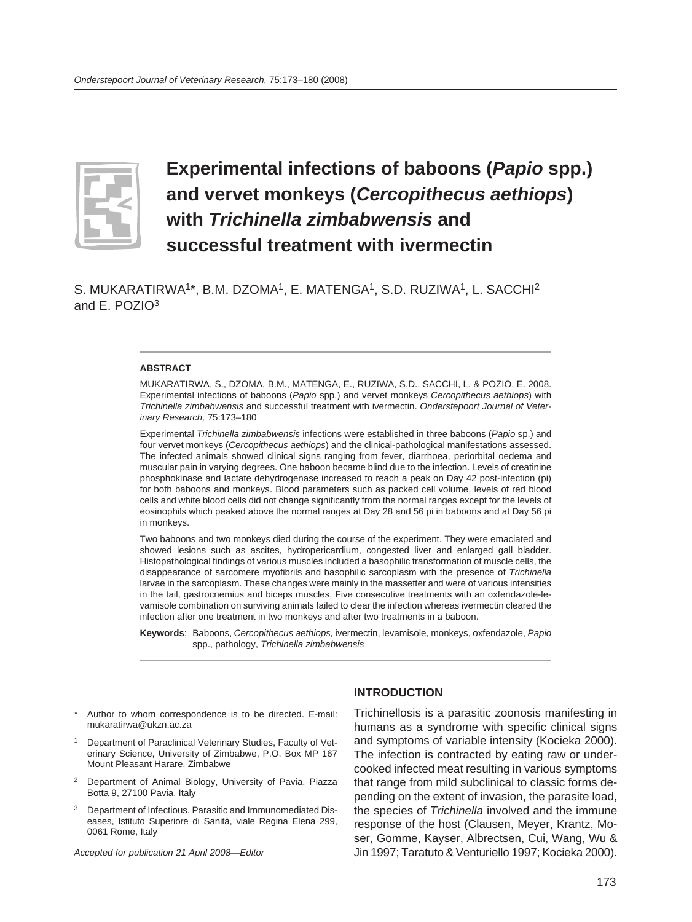

# **Experimental infections of baboons (***Papio* **spp.) and vervet monkeys (***Cercopithecus aethiops***) with** *Trichinella zimbabwensis* **and successful treatment with ivermectin**

S. MUKARATIRWA<sup>1\*</sup>, B.M. DZOMA<sup>1</sup>, E. MATENGA<sup>1</sup>, S.D. RUZIWA<sup>1</sup>, L. SACCHI<sup>2</sup> and E. POZIO<sup>3</sup>

#### **ABSTRACT**

MUKARATIRWA, S., DZOMA, B.M., MATENGA, E., RUZIWA, S.D., SACCHI, L. & POZIO, E. 2008. Experimental infections of baboons (*Papio* spp.) and vervet monkeys *Cercopithecus aethiops*) with *Trichinella zimbabwensis* and successful treatment with ivermectin. *Onderstepoort Journal of Veterinary Research,* 75:173–180

Experimental *Trichinella zimbabwensis* infections were established in three baboons (*Papio* sp.) and four vervet monkeys (*Cercopithecus aethiops*) and the clinical-pathological manifestations assessed. The infected animals showed clinical signs ranging from fever, diarrhoea, periorbital oedema and muscular pain in varying degrees. One baboon became blind due to the infection. Levels of creatinine phosphokinase and lactate dehydrogenase increased to reach a peak on Day 42 post-infection (pi) for both baboons and monkeys. Blood parameters such as packed cell volume, levels of red blood cells and white blood cells did not change significantly from the normal ranges except for the levels of eosinophils which peaked above the normal ranges at Day 28 and 56 pi in baboons and at Day 56 pi in monkeys.

Two baboons and two monkeys died during the course of the experiment. They were emaciated and showed lesions such as ascites, hydropericardium, congested liver and enlarged gall bladder. Histopathological findings of various muscles included a basophilic transformation of muscle cells, the dis appearance of sarcomere myofibrils and basophilic sarcoplasm with the presence of *Trichinella* larvae in the sarcoplasm. These changes were mainly in the massetter and were of various intensities in the tail, gastrocnemius and biceps muscles. Five consecutive treatments with an oxfendazole-levamisole combination on surviving animals failed to clear the infection whereas ivermectin cleared the infection after one treatment in two monkeys and after two treatments in a baboon.

**Keywords**: Baboons, *Cercopithecus aethiops,* ivermectin, levamisole, monkeys, oxfendazole, *Papio* spp., pathology, *Trichinella zimbabwensis*

- Department of Animal Biology, University of Pavia, Piazza Botta 9, 27100 Pavia, Italy
- Department of Infectious, Parasitic and Immunomediated Diseases, Istituto Superiore di Sanità, viale Regina Elena 299, 0061 Rome, Italy

*Accepted for publication 21 April 2008—Editor*

## **INTRODUCTION**

Trichinellosis is a parasitic zoonosis manifesting in humans as a syndrome with specific clinical signs and symptoms of variable intensity (Kocieka 2000). The infection is contracted by eating raw or undercooked infected meat resulting in various symptoms that range from mild subclinical to classic forms depending on the extent of invasion, the parasite load, the species of *Trichinella* involved and the immune response of the host (Clausen, Meyer, Krantz, Moser, Gomme, Kayser, Albrectsen, Cui, Wang, Wu & Jin 1997; Taratuto & Venturiello 1997; Kocieka 2000).

Author to whom correspondence is to be directed. E-mail: mukaratirwa@ukzn.ac.za

<sup>1</sup> Department of Paraclinical Veterinary Studies, Faculty of Veterinary Science, University of Zimbabwe, P.O. Box MP 167 Mount Pleasant Harare, Zimbabwe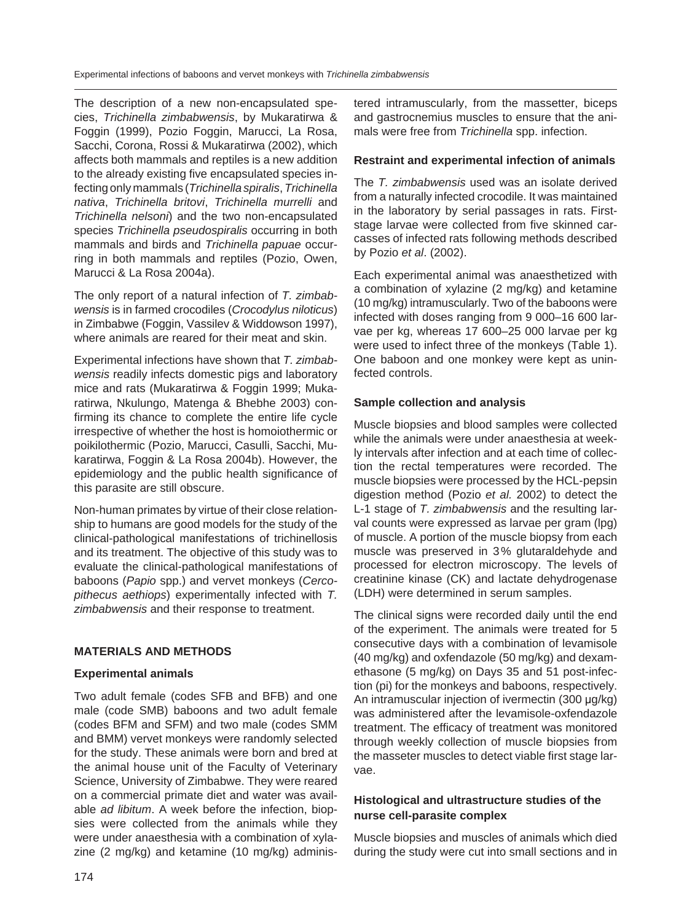The description of a new non-encapsulated species, *Trichinella zimbabwensis*, by Mukaratirwa & Foggin (1999), Pozio Foggin, Marucci, La Rosa, Sacchi, Corona, Rossi & Mukaratirwa (2002), which affects both mammals and reptiles is a new addition to the already existing five encapsulated species infecting only mammals (*Trichinella spiralis*, *Trichinella nativa*, *Trichinella britovi*, *Trichinella murrelli* and *Trichinella nelsoni*) and the two non-encapsulated species *Trichinella pseudospiralis* occurring in both mammals and birds and *Trichinella papuae* occurring in both mammals and reptiles (Pozio, Owen, Marucci & La Rosa 2004a).

The only report of a natural infection of *T. zimbabwensis* is in farmed crocodiles (*Crocodylus niloticus*) in Zimbabwe (Foggin, Vassilev & Widdowson 1997), where animals are reared for their meat and skin.

Experimental infections have shown that *T. zimbabwensis* readily infects domestic pigs and laboratory mice and rats (Mukaratirwa & Foggin 1999; Mukaratirwa, Nkulungo, Matenga & Bhebhe 2003) confirming its chance to complete the entire life cycle irrespective of whether the host is homoiothermic or poikilothermic (Pozio, Marucci, Casulli, Sacchi, Mukaratirwa, Foggin & La Rosa 2004b). However, the epidemiology and the public health significance of this parasite are still obscure.

Non-human primates by virtue of their close relationship to humans are good models for the study of the clinical-pathological manifestations of trichinellosis and its treatment. The objective of this study was to evaluate the clinical-pathological manifestations of baboons (*Papio* spp.) and vervet monkeys (*Cercopithecus aethiops*) experimentally infected with *T. zimbabwensis* and their response to treatment.

## **MATERIALS AND METHODS**

## **Experimental animals**

Two adult female (codes SFB and BFB) and one male (code SMB) baboons and two adult female (codes BFM and SFM) and two male (codes SMM and BMM) vervet monkeys were randomly selected for the study. These animals were born and bred at the animal house unit of the Faculty of Veterinary Science, University of Zimbabwe. They were reared on a commercial primate diet and water was available *ad libitum*. A week before the infection, biopsies were collected from the animals while they were under anaesthesia with a combination of xylazine (2 mg/kg) and ketamine (10 mg/kg) administered intramuscularly, from the massetter, biceps and gastrocnemius muscles to ensure that the animals were free from *Trichinella* spp. infection.

## **Restraint and experimental infection of animals**

The *T. zimbabwensis* used was an isolate derived from a naturally infected crocodile. It was maintained in the laboratory by serial passages in rats. Firststage larvae were collected from five skinned carcasses of infected rats following methods described by Pozio *et al*. (2002).

Each experimental animal was anaesthetized with a combination of xylazine (2 mg/kg) and ketamine (10 mg/kg) intramuscularly. Two of the baboons were infected with doses ranging from 9 000–16 600 larvae per kg, whereas 17 600–25 000 larvae per kg were used to infect three of the monkeys (Table 1). One baboon and one monkey were kept as uninfected controls.

## **Sample collection and analysis**

Muscle biopsies and blood samples were collected while the animals were under anaesthesia at weekly intervals after infection and at each time of collection the rectal temperatures were recorded. The muscle biopsies were processed by the HCL-pepsin digestion method (Pozio *et al.* 2002) to detect the L-1 stage of *T. zimbabwensis* and the resulting larval counts were expressed as larvae per gram (lpg) of muscle. A portion of the muscle biopsy from each muscle was preserved in 3 % glutaraldehyde and processed for electron microscopy. The levels of creatinine kinase (CK) and lactate dehydrogenase (LDH) were determined in serum samples.

The clinical signs were recorded daily until the end of the experiment. The animals were treated for 5 consecutive days with a combination of levamisole (40 mg/kg) and oxfendazole (50 mg/kg) and dexamethasone (5 mg/kg) on Days 35 and 51 post-infection (pi) for the monkeys and baboons, respectively. An intramuscular injection of ivermectin (300 μg/kg) was administered after the levamisole-oxfendazole treatment. The efficacy of treatment was monitored through weekly collection of muscle biopsies from the masseter muscles to detect viable first stage larvae.

## **Histological and ultrastructure studies of the nurse cell-parasite complex**

Muscle biopsies and muscles of animals which died during the study were cut into small sections and in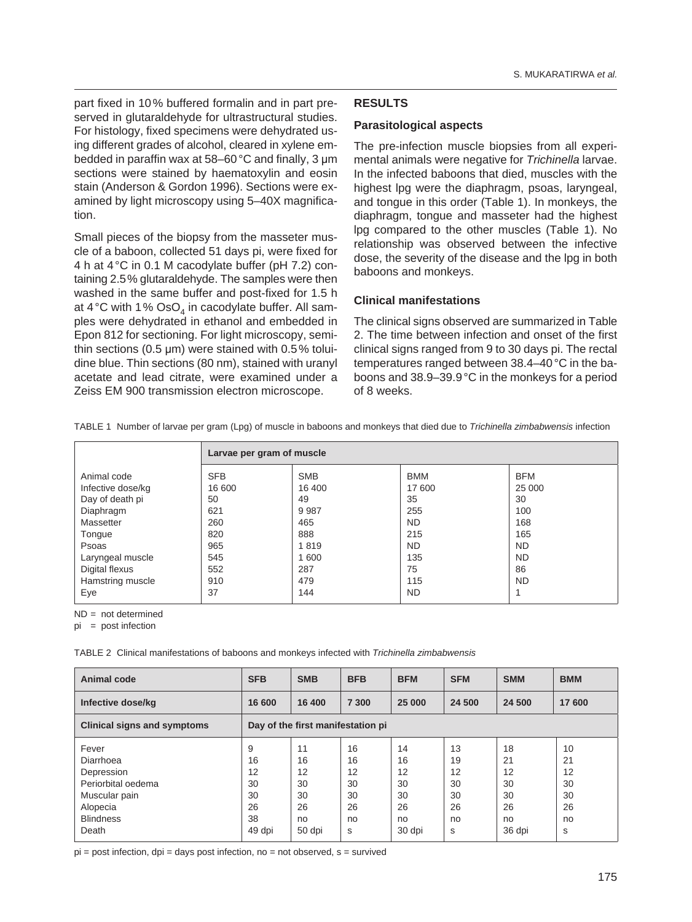part fixed in 10 % buffered formalin and in part preserved in glutaraldehyde for ultrastructural studies. For histology, fixed specimens were dehydrated using different grades of alcohol, cleared in xylene embedded in paraffin wax at 58–60 °C and finally, 3 um sections were stained by haematoxylin and eosin stain (Anderson & Gordon 1996). Sections were examined by light microscopy using 5–40X magnification.

Small pieces of the biopsy from the masseter muscle of a baboon, collected 51 days pi, were fixed for 4 h at 4 °C in 0.1 M cacodylate buffer (pH 7.2) containing 2.5 % glutaraldehyde. The samples were then washed in the same buffer and post-fixed for 1.5 h at  $4^{\circ}$ C with 1% OsO<sub>4</sub> in cacodylate buffer. All samples were dehydrated in ethanol and embedded in Epon 812 for sectioning. For light microscopy, semithin sections (0.5 μm) were stained with 0.5 % toluidine blue. Thin sections (80 nm), stained with uranyl acetate and lead citrate, were examined under a Zeiss EM 900 transmission electron microscope.

## **RESULTS**

### **Parasitological aspects**

The pre-infection muscle biopsies from all experimental animals were negative for *Trichinella* larvae. In the infected baboons that died, muscles with the highest lpg were the diaphragm, psoas, laryngeal, and tongue in this order (Table 1). In monkeys, the diaphragm, tongue and masseter had the highest lpg compared to the other muscles (Table 1). No relationship was observed between the infective dose, the severity of the disease and the lpg in both baboons and monkeys.

## **Clinical manifestations**

The clinical signs observed are summarized in Table 2. The time between infection and onset of the first clinical signs ranged from 9 to 30 days pi. The rectal temperatures ranged between 38.4–40 °C in the baboons and 38.9–39.9 °C in the monkeys for a period of 8 weeks.

TABLE 1 Number of larvae per gram (Lpg) of muscle in baboons and monkeys that died due to *Trichinella zimbabwensis* infection

|                                                                                                                      | Larvae per gram of muscle                                     |                                                                   |                                                                           |                                                             |  |
|----------------------------------------------------------------------------------------------------------------------|---------------------------------------------------------------|-------------------------------------------------------------------|---------------------------------------------------------------------------|-------------------------------------------------------------|--|
| Animal code<br>Infective dose/kg<br>Day of death pi<br>Diaphragm<br>Massetter<br>Tongue<br>Psoas<br>Laryngeal muscle | <b>SFB</b><br>16 600<br>50<br>621<br>260<br>820<br>965<br>545 | <b>SMB</b><br>16 400<br>49<br>9987<br>465<br>888<br>1819<br>1 600 | <b>BMM</b><br>17 600<br>35<br>255<br><b>ND</b><br>215<br><b>ND</b><br>135 | <b>BFM</b><br>25 000<br>30<br>100<br>168<br>165<br>ND<br>ND |  |
| Digital flexus<br>Hamstring muscle<br>Eye                                                                            | 552<br>910<br>37                                              | 287<br>479<br>144                                                 | 75<br>115<br><b>ND</b>                                                    | 86<br>ND                                                    |  |

ND = not determined

pi = post infection

TABLE 2 Clinical manifestations of baboons and monkeys infected with *Trichinella zimbabwensis*

| Animal code                        | <b>SFB</b>                        | <b>SMB</b> | <b>BFB</b> | <b>BFM</b> | <b>SFM</b> | <b>SMM</b> | <b>BMM</b> |
|------------------------------------|-----------------------------------|------------|------------|------------|------------|------------|------------|
| Infective dose/kg                  | 16 600                            | 16 400     | 7 300      | 25 000     | 24 500     | 24 500     | 17 600     |
| <b>Clinical signs and symptoms</b> | Day of the first manifestation pi |            |            |            |            |            |            |
| Fever                              | 9                                 | 11         | 16         | 14         | 13         | 18         | 10         |
| Diarrhoea                          | 16                                | 16         | 16         | 16         | 19         | 21         | 21         |
| Depression                         | 12                                | 12         | 12         | 12         | 12         | 12         | 12         |
| Periorbital oedema                 | 30                                | 30         | 30         | 30         | 30         | 30         | 30         |
| Muscular pain                      | 30                                | 30         | 30         | 30         | 30         | 30         | 30         |
| Alopecia                           | 26                                | 26         | 26         | 26         | 26         | 26         | 26         |
| <b>Blindness</b>                   | 38                                | no         | no         | no         | no         | no         | no         |
| Death                              | 49 dpi                            | 50 dpi     | S          | 30 dpi     | S          | 36 dpi     | S          |

 $pi = post$  infection, dpi = days post infection, no = not observed, s = survived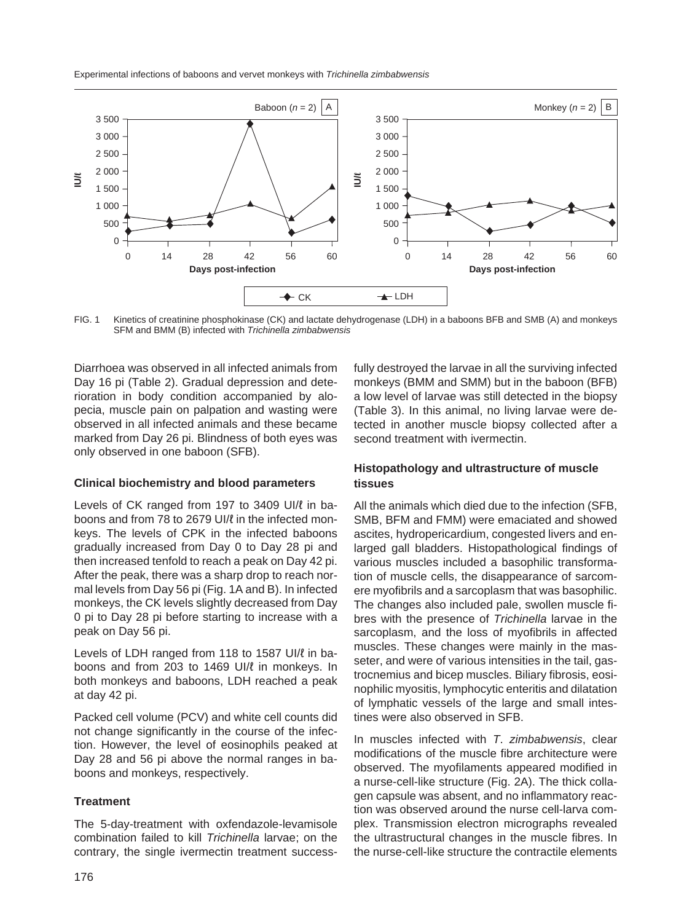

FIG. 1 Kinetics of creatinine phosphokinase (CK) and lactate dehydrogenase (LDH) in a baboons BFB and SMB (A) and monkeys SFM and BMM (B) infected with *Trichinella zimbabwensis*

Diarrhoea was observed in all infected animals from Day 16 pi (Table 2). Gradual depression and deterioration in body condition accompanied by alopecia, muscle pain on palpation and wasting were observed in all infected animals and these became marked from Day 26 pi. Blindness of both eyes was only observed in one baboon (SFB).

### **Clinical biochemistry and blood parameters**

Levels of CK ranged from 197 to 3409 UI/ℓ in baboons and from 78 to 2679 UI/ℓ in the infected monkeys. The levels of CPK in the infected baboons gradually increased from Day 0 to Day 28 pi and then increased tenfold to reach a peak on Day 42 pi. After the peak, there was a sharp drop to reach normal levels from Day 56 pi (Fig. 1A and B). In infected monkeys, the CK levels slightly decreased from Day 0 pi to Day 28 pi before starting to increase with a peak on Day 56 pi.

Levels of LDH ranged from 118 to 1587 UI/ℓ in baboons and from 203 to 1469 UI/ℓ in monkeys. In both monkeys and baboons, LDH reached a peak at day 42 pi.

Packed cell volume (PCV) and white cell counts did not change significantly in the course of the infection. However, the level of eosinophils peaked at Day 28 and 56 pi above the normal ranges in baboons and monkeys, respectively.

## **Treatment**

The 5-day-treatment with oxfendazole-levamisole combination failed to kill *Trichinella* larvae; on the contrary, the single ivermectin treatment successfully destroyed the larvae in all the surviving infected monkeys (BMM and SMM) but in the baboon (BFB) a low level of larvae was still detected in the biopsy (Table 3). In this animal, no living larvae were detected in another muscle biopsy collected after a second treatment with ivermectin.

## **Histopathology and ultrastructure of muscle tissues**

All the animals which died due to the infection (SFB, SMB, BFM and FMM) were emaciated and showed ascites, hydropericardium, congested livers and enlarged gall bladders. Histopathological findings of various muscles included a basophilic transformation of muscle cells, the disappearance of sarcomere myofibrils and a sarcoplasm that was basophilic. The changes also included pale, swollen muscle fibres with the presence of *Trichinella* larvae in the sarcoplasm, and the loss of myofibrils in affected muscles. These changes were mainly in the masseter, and were of various intensities in the tail, gastrocnemius and bicep muscles. Biliary fibrosis, eosinophilic myositis, lymphocytic enteritis and dilatation of lymphatic vessels of the large and small intestines were also observed in SFB.

In muscles infected with *T*. *zimbabwensis*, clear modifications of the muscle fibre architecture were observed. The myofilaments appeared modified in a nurse-cell-like structure (Fig. 2A). The thick collagen capsule was absent, and no inflammatory reaction was observed around the nurse cell-larva complex. Transmission electron micrographs revealed the ultrastructural changes in the muscle fibres. In the nurse-cell-like structure the contractile elements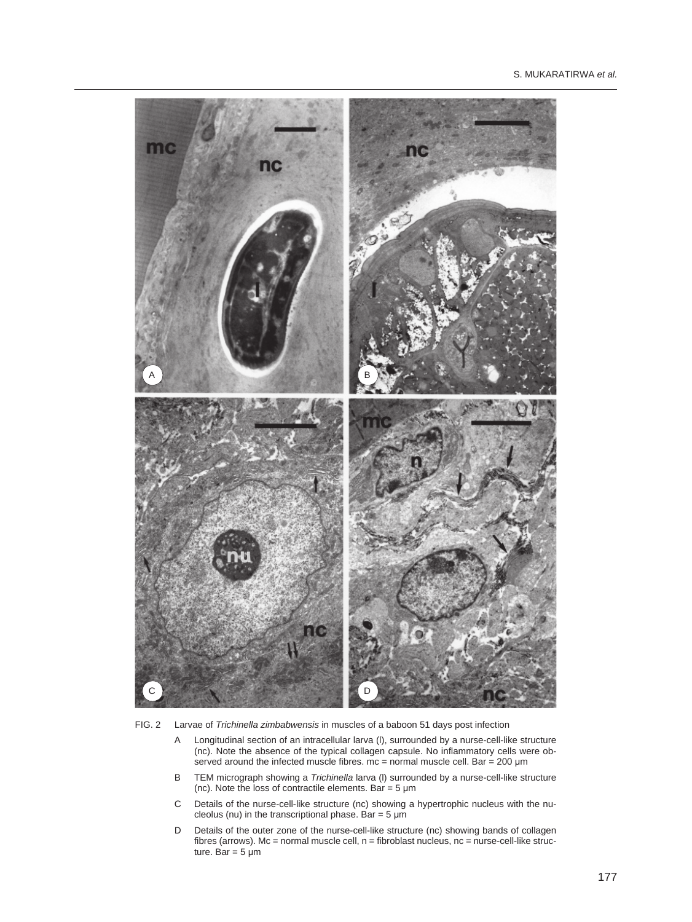

FIG. 2 Larvae of *Trichinella zimbabwensis* in muscles of a baboon 51 days post infection

- A Longitudinal section of an intracellular larva (l), surrounded by a nurse-cell-like structure (nc). Note the absence of the typical collagen capsule. No inflammatory cells were observed around the infected muscle fibres.  $mc = normal$  muscle cell. Bar = 200 µm
- B TEM micrograph showing a *Trichinella* larva (l) surrounded by a nurse-cell-like structure (nc). Note the loss of contractile elements. Bar =  $5 \mu m$
- C Details of the nurse-cell-like structure (nc) showing a hypertrophic nucleus with the nucleolus (nu) in the transcriptional phase. Bar =  $5 \mu m$
- D Details of the outer zone of the nurse-cell-like structure (nc) showing bands of collagen fibres (arrows). Mc = normal muscle cell,  $n =$  fibroblast nucleus,  $nc =$  nurse-cell-like structure. Bar =  $5 \mu m$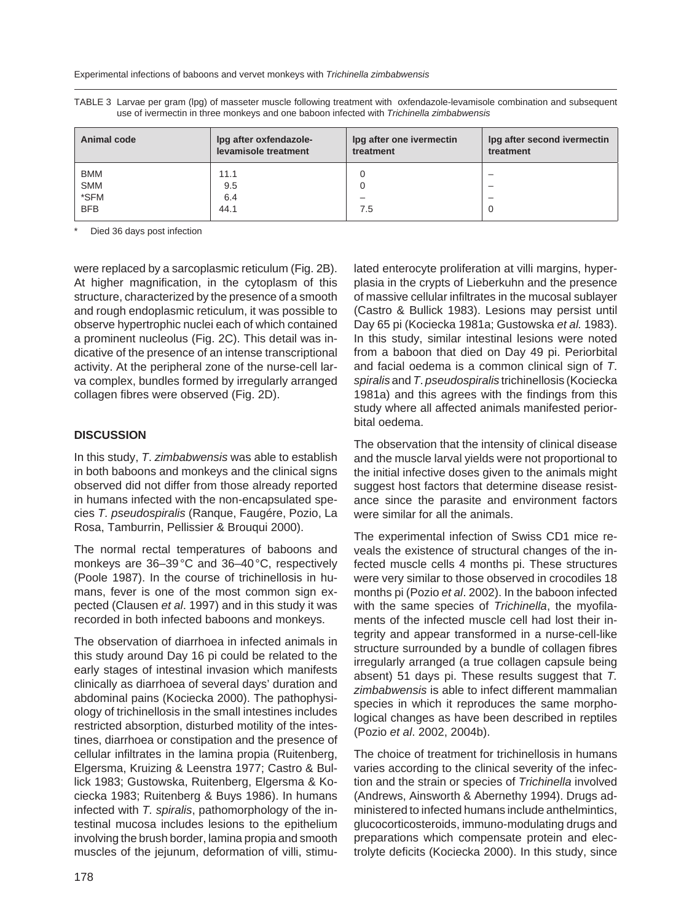Experimental infections of baboons and vervet monkeys with *Trichinella zimbabwensis*

TABLE 3 Larvae per gram (lpg) of masseter muscle following treatment with oxfendazole-levamisole combination and subsequent use of ivermectin in three monkeys and one baboon infected with *Trichinella zimbabwensis*

| Animal code | Ipg after oxfendazole- | Ipg after one ivermectin | Ipg after second ivermectin |  |
|-------------|------------------------|--------------------------|-----------------------------|--|
|             | levamisole treatment   | treatment                | treatment                   |  |
| <b>BMM</b>  | 11.1                   |                          | -                           |  |
| <b>SMM</b>  | 9.5                    |                          | -                           |  |
| *SFM        | 6.4                    |                          | -                           |  |
| <b>BFB</b>  | 44.1                   | 7.5                      | 0                           |  |

Died 36 days post infection

were replaced by a sarcoplasmic reticulum (Fig. 2B). At higher magnification, in the cytoplasm of this structure, characterized by the presence of a smooth and rough endoplasmic reticulum, it was possible to observe hypertrophic nuclei each of which contained a prominent nucleolus (Fig. 2C). This detail was indicative of the presence of an intense transcriptional activity. At the peripheral zone of the nurse-cell larva complex, bundles formed by irregularly arranged collagen fibres were observed (Fig. 2D).

## **DISCUSSION**

In this study, *T*. *zimbabwensis* was able to establish in both baboons and monkeys and the clinical signs observed did not differ from those already reported in humans infected with the non-encapsulated species *T. pseudospiralis* (Ranque, Faugére, Pozio, La Rosa, Tamburrin, Pellissier & Brouqui 2000).

The normal rectal temperatures of baboons and monkeys are 36–39 °C and 36–40 °C, respectively (Poole 1987). In the course of trichinellosis in humans, fever is one of the most common sign expected (Clausen *et al*. 1997) and in this study it was recorded in both infected baboons and monkeys.

The observation of diarrhoea in infected animals in this study around Day 16 pi could be related to the early stages of intestinal invasion which manifests clinically as diarrhoea of several days' duration and abdominal pains (Kociecka 2000). The pathophysiology of trichinellosis in the small intestines includes restricted absorption, disturbed motility of the intestines, diarrhoea or constipation and the presence of cellular infiltrates in the lamina propia (Ruitenberg, Elgersma, Kruizing & Leenstra 1977; Castro & Bullick 1983; Gustowska, Ruitenberg, Elgersma & Kociecka 1983; Ruitenberg & Buys 1986). In humans infected with *T. spiralis*, pathomorphology of the intestinal mucosa includes lesions to the epithelium involving the brush border, lamina propia and smooth muscles of the jejunum, deformation of villi, stimulated enterocyte proliferation at villi margins, hyperplasia in the crypts of Lieberkuhn and the presence of massive cellular infiltrates in the mucosal sublayer (Castro & Bullick 1983). Lesions may persist until Day 65 pi (Kociecka 1981a; Gustowska *et al.* 1983). In this study, similar intestinal lesions were noted from a baboon that died on Day 49 pi. Periorbital and facial oedema is a common clinical sign of *T*. *spiralis* and *T*. *pseudospiralis* trichinellosis (Kociecka 1981a) and this agrees with the findings from this study where all affected animals manifested periorbital oedema.

The observation that the intensity of clinical disease and the muscle larval yields were not proportional to the initial infective doses given to the animals might suggest host factors that determine disease resistance since the parasite and environment factors were similar for all the animals.

The experimental infection of Swiss CD1 mice reveals the existence of structural changes of the infected muscle cells 4 months pi. These structures were very similar to those observed in crocodiles 18 months pi (Pozio *et al*. 2002). In the baboon infected with the same species of *Trichinella*, the myofilaments of the infected muscle cell had lost their integrity and appear transformed in a nurse-cell-like structure surrounded by a bundle of collagen fibres irregularly arranged (a true collagen capsule being absent) 51 days pi. These results suggest that *T. zimbabwensis* is able to infect different mammalian species in which it reproduces the same morphological changes as have been described in reptiles (Pozio *et al*. 2002, 2004b).

The choice of treatment for trichinellosis in humans varies according to the clinical severity of the infection and the strain or species of *Trichinella* involved (Andrews, Ainsworth & Abernethy 1994). Drugs administered to infected humans include anthelmintics, glucocorticosteroids, immuno-modulating drugs and preparations which compensate protein and electrolyte deficits (Kociecka 2000). In this study, since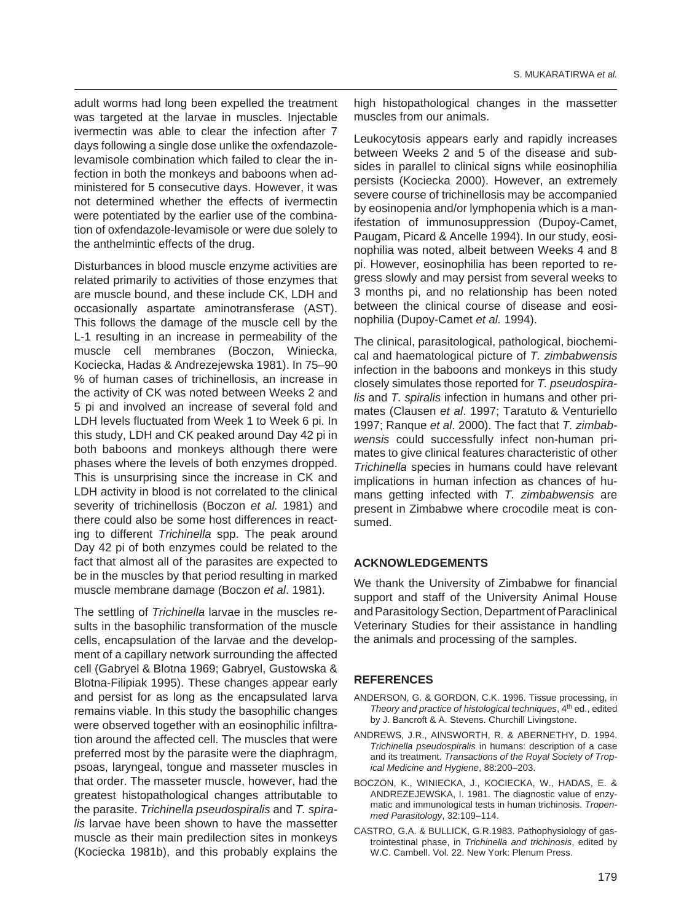adult worms had long been expelled the treatment was targeted at the larvae in muscles. Injectable ivermectin was able to clear the infection after 7 days following a single dose unlike the oxfendazolelevamisole combination which failed to clear the infection in both the monkeys and baboons when administered for 5 consecutive days. However, it was not determined whether the effects of ivermectin were potentiated by the earlier use of the combination of oxfendazole-levamisole or were due solely to the anthelmintic effects of the drug.

Disturbances in blood muscle enzyme activities are related primarily to activities of those enzymes that are muscle bound, and these include CK, LDH and occasionally aspartate aminotransferase (AST). This follows the damage of the muscle cell by the L-1 resulting in an increase in permeability of the muscle cell membranes (Boczon, Winiecka, Kociecka, Hadas & Andrezejewska 1981). In 75–90 % of human cases of trichinellosis, an increase in the activity of CK was noted between Weeks 2 and 5 pi and involved an increase of several fold and LDH levels fluctuated from Week 1 to Week 6 pi. In this study, LDH and CK peaked around Day 42 pi in both baboons and monkeys although there were phases where the levels of both enzymes dropped. This is unsurprising since the increase in CK and LDH activity in blood is not correlated to the clinical severity of trichinellosis (Boczon *et al.* 1981) and there could also be some host differences in reacting to different *Trichinella* spp. The peak around Day 42 pi of both enzymes could be related to the fact that almost all of the parasites are expected to be in the muscles by that period resulting in marked muscle membrane damage (Boczon *et al*. 1981).

The settling of *Trichinella* larvae in the muscles results in the basophilic transformation of the muscle cells, encapsulation of the larvae and the development of a capillary network surrounding the affected cell (Gabryel & Blotna 1969; Gabryel, Gustowska & Blotna-Filipiak 1995). These changes appear early and persist for as long as the encapsulated larva remains viable. In this study the basophilic changes were observed together with an eosinophilic infiltration around the affected cell. The muscles that were preferred most by the parasite were the diaphragm, psoas, laryngeal, tongue and masseter muscles in that order. The masseter muscle, however, had the greatest histopathological changes attributable to the parasite. *Trichinella pseudospiralis* and *T. spiralis* larvae have been shown to have the massetter muscle as their main predilection sites in monkeys (Kociecka 1981b), and this probably explains the

high histopathological changes in the massetter muscles from our animals.

Leukocytosis appears early and rapidly increases between Weeks 2 and 5 of the disease and subsides in parallel to clinical signs while eosinophilia persists (Kociecka 2000). However, an extremely severe course of trichinellosis may be accompanied by eosinopenia and/or lymphopenia which is a manifestation of immunosuppression (Dupoy-Camet, Paugam, Picard & Ancelle 1994). In our study, eosinophilia was noted, albeit between Weeks 4 and 8 pi. However, eosinophilia has been reported to regress slowly and may persist from several weeks to 3 months pi, and no relationship has been noted between the clinical course of disease and eosinophilia (Dupoy-Camet *et al.* 1994).

The clinical, parasitological, pathological, biochemical and haematological picture of *T. zimbabwensis* infection in the baboons and monkeys in this study closely simulates those reported for *T. pseudospiralis* and *T. spiralis* infection in humans and other primates (Clausen *et al*. 1997; Taratuto & Venturiello 1997; Ranque *et al*. 2000). The fact that *T. zimbabwensis* could successfully infect non-human primates to give clinical features characteristic of other *Trichinella* species in humans could have relevant implications in human infection as chances of humans getting infected with *T. zimbabwensis* are present in Zimbabwe where crocodile meat is consumed.

## **ACKNOWLEDGEMENTS**

We thank the University of Zimbabwe for financial support and staff of the University Animal House and Parasitology Section, Department of Paraclinical Veterinary Studies for their assistance in handling the animals and processing of the samples.

## **REFERENCES**

- ANDERSON, G. & GORDON, C.K. 1996. Tissue processing, in *Theory and practice of histological techniques*, 4<sup>th</sup> ed., edited by J. Bancroft & A. Stevens. Churchill Livingstone.
- ANDREWS, J.R., AINSWORTH, R. & ABERNETHY, D. 1994. *Trichinella pseudospiralis* in humans: description of a case and its treatment. *Transactions of the Royal Society of Tropical Medicine and Hygiene*, 88:200–203.
- BOCZON, K., WINIECKA, J., KOCIECKA, W., HADAS, E. & ANDREZEJEWSKA, I. 1981. The diagnostic value of enzymatic and immunological tests in human trichinosis. *Tropenmed Parasitology*, 32:109–114.
- CASTRO, G.A. & BULLICK, G.R.1983. Pathophysiology of gastrointestinal phase, in *Trichinella and trichinosis*, edited by W.C. Cambell. Vol. 22. New York: Plenum Press.